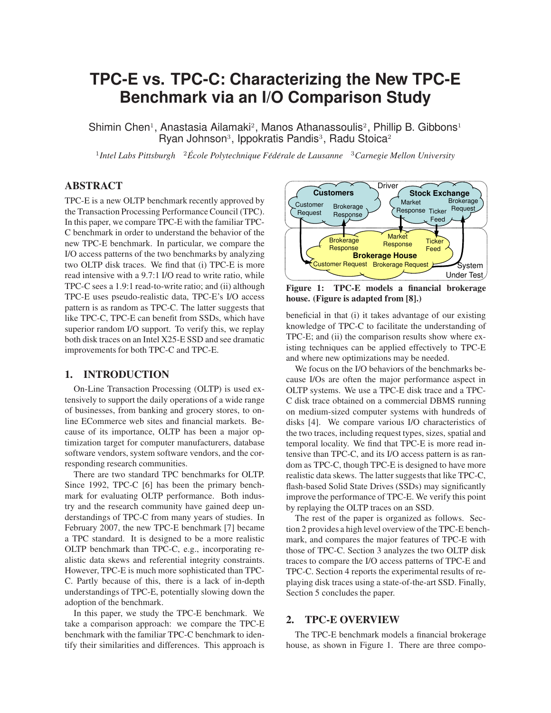# **TPC-E vs. TPC-C: Characterizing the New TPC-E Benchmark via an I/O Comparison Study**

Shimin Chen<sup>1</sup>, Anastasia Ailamaki<sup>2</sup>, Manos Athanassoulis<sup>2</sup>, Phillip B. Gibbons<sup>1</sup> Ryan Johnson<sup>3</sup>, Ippokratis Pandis<sup>3</sup>, Radu Stoica<sup>2</sup>

1 *Intel Labs Pittsburgh* <sup>2</sup>*Ecole Polytechnique F ´ ed´ erale de Lausanne ´* <sup>3</sup>*Carnegie Mellon University*

## **ABSTRACT**

TPC-E is a new OLTP benchmark recently approved by the Transaction Processing Performance Council (TPC). In this paper, we compare TPC-E with the familiar TPC-C benchmark in order to understand the behavior of the new TPC-E benchmark. In particular, we compare the I/O access patterns of the two benchmarks by analyzing two OLTP disk traces. We find that (i) TPC-E is more read intensive with a 9.7:1 I/O read to write ratio, while TPC-C sees a 1.9:1 read-to-write ratio; and (ii) although TPC-E uses pseudo-realistic data, TPC-E's I/O access pattern is as random as TPC-C. The latter suggests that like TPC-C, TPC-E can benefit from SSDs, which have superior random I/O support. To verify this, we replay both disk traces on an Intel X25-E SSD and see dramatic improvements for both TPC-C and TPC-E.

#### **1. INTRODUCTION**

On-Line Transaction Processing (OLTP) is used extensively to support the daily operations of a wide range of businesses, from banking and grocery stores, to online ECommerce web sites and financial markets. Because of its importance, OLTP has been a major optimization target for computer manufacturers, database software vendors, system software vendors, and the corresponding research communities.

There are two standard TPC benchmarks for OLTP. Since 1992, TPC-C [6] has been the primary benchmark for evaluating OLTP performance. Both industry and the research community have gained deep understandings of TPC-C from many years of studies. In February 2007, the new TPC-E benchmark [7] became a TPC standard. It is designed to be a more realistic OLTP benchmark than TPC-C, e.g., incorporating realistic data skews and referential integrity constraints. However, TPC-E is much more sophisticated than TPC-C. Partly because of this, there is a lack of in-depth understandings of TPC-E, potentially slowing down the adoption of the benchmark.

In this paper, we study the TPC-E benchmark. We take a comparison approach: we compare the TPC-E benchmark with the familiar TPC-C benchmark to identify their similarities and differences. This approach is



**Figure 1: TPC-E models a financial brokerage house. (Figure is adapted from [8].)**

beneficial in that (i) it takes advantage of our existing knowledge of TPC-C to facilitate the understanding of TPC-E; and (ii) the comparison results show where existing techniques can be applied effectively to TPC-E and where new optimizations may be needed.

We focus on the I/O behaviors of the benchmarks because I/Os are often the major performance aspect in OLTP systems. We use a TPC-E disk trace and a TPC-C disk trace obtained on a commercial DBMS running on medium-sized computer systems with hundreds of disks [4]. We compare various I/O characteristics of the two traces, including request types, sizes, spatial and temporal locality. We find that TPC-E is more read intensive than TPC-C, and its I/O access pattern is as random as TPC-C, though TPC-E is designed to have more realistic data skews. The latter suggests that like TPC-C, flash-based Solid State Drives (SSDs) may significantly improve the performance of TPC-E. We verify this point by replaying the OLTP traces on an SSD.

The rest of the paper is organized as follows. Section 2 provides a high level overview of the TPC-E benchmark, and compares the major features of TPC-E with those of TPC-C. Section 3 analyzes the two OLTP disk traces to compare the I/O access patterns of TPC-E and TPC-C. Section 4 reports the experimental results of replaying disk traces using a state-of-the-art SSD. Finally, Section 5 concludes the paper.

## **2. TPC-E OVERVIEW**

The TPC-E benchmark models a financial brokerage house, as shown in Figure 1. There are three compo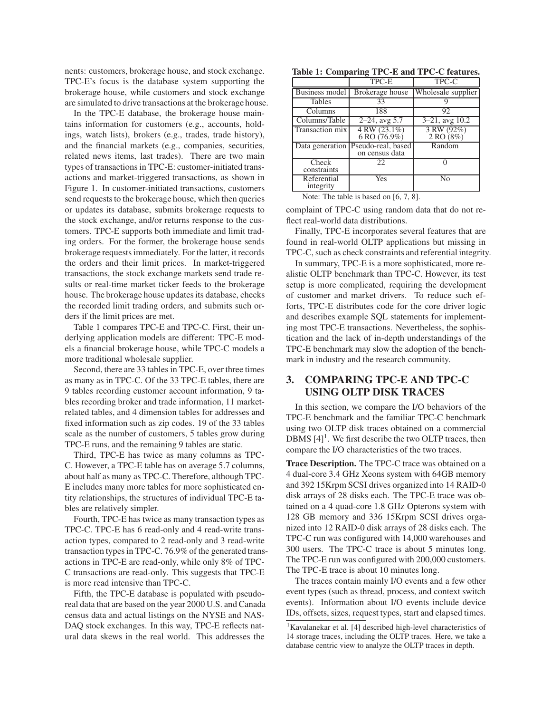nents: customers, brokerage house, and stock exchange. TPC-E's focus is the database system supporting the brokerage house, while customers and stock exchange are simulated to drive transactions at the brokerage house.

In the TPC-E database, the brokerage house maintains information for customers (e.g., accounts, holdings, watch lists), brokers (e.g., trades, trade history), and the financial markets (e.g., companies, securities, related news items, last trades). There are two main types of transactions in TPC-E: customer-initiated transactions and market-triggered transactions, as shown in Figure 1. In customer-initiated transactions, customers send requests to the brokerage house, which then queries or updates its database, submits brokerage requests to the stock exchange, and/or returns response to the customers. TPC-E supports both immediate and limit trading orders. For the former, the brokerage house sends brokerage requests immediately. For the latter, it records the orders and their limit prices. In market-triggered transactions, the stock exchange markets send trade results or real-time market ticker feeds to the brokerage house. The brokerage house updates its database, checks the recorded limit trading orders, and submits such orders if the limit prices are met.

Table 1 compares TPC-E and TPC-C. First, their underlying application models are different: TPC-E models a financial brokerage house, while TPC-C models a more traditional wholesale supplier.

Second, there are 33 tables in TPC-E, over three times as many as in TPC-C. Of the 33 TPC-E tables, there are 9 tables recording customer account information, 9 tables recording broker and trade information, 11 marketrelated tables, and 4 dimension tables for addresses and fixed information such as zip codes. 19 of the 33 tables scale as the number of customers, 5 tables grow during TPC-E runs, and the remaining 9 tables are static.

Third, TPC-E has twice as many columns as TPC-C. However, a TPC-E table has on average 5.7 columns, about half as many as TPC-C. Therefore, although TPC-E includes many more tables for more sophisticated entity relationships, the structures of individual TPC-E tables are relatively simpler.

Fourth, TPC-E has twice as many transaction types as TPC-C. TPC-E has 6 read-only and 4 read-write transaction types, compared to 2 read-only and 3 read-write transaction types in TPC-C. 76.9% of the generated transactions in TPC-E are read-only, while only 8% of TPC-C transactions are read-only. This suggests that TPC-E is more read intensive than TPC-C.

Fifth, the TPC-E database is populated with pseudoreal data that are based on the year 2000 U.S. and Canada census data and actual listings on the NYSE and NAS-DAQ stock exchanges. In this way, TPC-E reflects natural data skews in the real world. This addresses the

|  | Table 1: Comparing TPC-E and TPC-C features. |  |  |  |
|--|----------------------------------------------|--|--|--|
|--|----------------------------------------------|--|--|--|

|                          | TPC-E                                | TPC-C                   |
|--------------------------|--------------------------------------|-------------------------|
| <b>Business model</b>    | Brokerage house                      | Wholesale supplier      |
| <b>Tables</b>            | 33                                   |                         |
| Columns                  | 188                                  | 92                      |
| Columns/Table            | $2-24$ , avg 5.7                     | $3-21$ , avg $10.2$     |
| Transaction mix          | 4 RW (23.1%)<br>6 RO (76.9%)         | 3 RW (92%)<br>2 RO (8%) |
| Data generation          | Pseudo-real, based<br>on census data | Random                  |
| Check<br>constraints     | 22                                   |                         |
| Referential<br>integrity | <b>Yes</b>                           | No                      |

Note: The table is based on [6, 7, 8].

complaint of TPC-C using random data that do not reflect real-world data distributions.

Finally, TPC-E incorporates several features that are found in real-world OLTP applications but missing in TPC-C, such as check constraints and referential integrity.

In summary, TPC-E is a more sophisticated, more realistic OLTP benchmark than TPC-C. However, its test setup is more complicated, requiring the development of customer and market drivers. To reduce such efforts, TPC-E distributes code for the core driver logic and describes example SQL statements for implementing most TPC-E transactions. Nevertheless, the sophistication and the lack of in-depth understandings of the TPC-E benchmark may slow the adoption of the benchmark in industry and the research community.

## **3. COMPARING TPC-E AND TPC-C USING OLTP DISK TRACES**

In this section, we compare the I/O behaviors of the TPC-E benchmark and the familiar TPC-C benchmark using two OLTP disk traces obtained on a commercial DBMS  $[4]$ <sup>1</sup>. We first describe the two OLTP traces, then compare the I/O characteristics of the two traces.

**Trace Description.** The TPC-C trace was obtained on a 4 dual-core 3.4 GHz Xeons system with 64GB memory and 392 15Krpm SCSI drives organized into 14 RAID-0 disk arrays of 28 disks each. The TPC-E trace was obtained on a 4 quad-core 1.8 GHz Opterons system with 128 GB memory and 336 15Krpm SCSI drives organized into 12 RAID-0 disk arrays of 28 disks each. The TPC-C run was configured with 14,000 warehouses and 300 users. The TPC-C trace is about 5 minutes long. The TPC-E run was configured with 200,000 customers. The TPC-E trace is about 10 minutes long.

The traces contain mainly I/O events and a few other event types (such as thread, process, and context switch events). Information about I/O events include device IDs, offsets, sizes, request types, start and elapsed times.

<sup>&</sup>lt;sup>1</sup>Kavalanekar et al. [4] described high-level characteristics of 14 storage traces, including the OLTP traces. Here, we take a database centric view to analyze the OLTP traces in depth.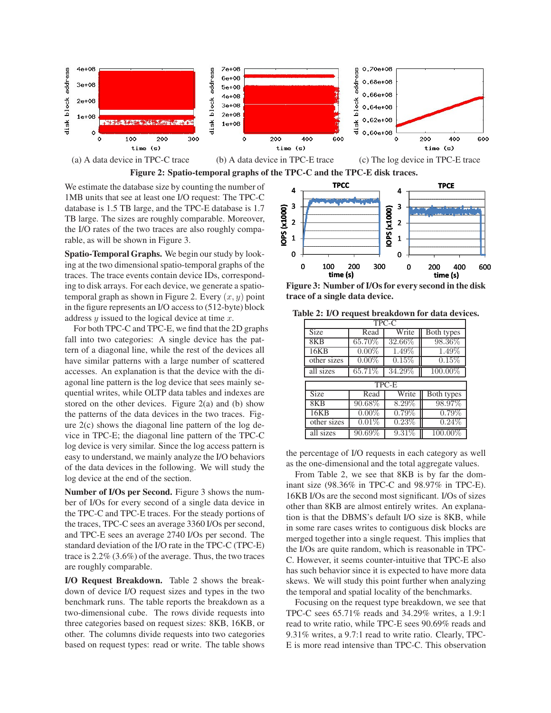



We estimate the database size by counting the number of 1MB units that see at least one I/O request: The TPC-C database is 1.5 TB large, and the TPC-E database is 1.7 TB large. The sizes are roughly comparable. Moreover, the I/O rates of the two traces are also roughly comparable, as will be shown in Figure 3.

**Spatio-Temporal Graphs.** We begin our study by looking at the two dimensional spatio-temporal graphs of the traces. The trace events contain device IDs, corresponding to disk arrays. For each device, we generate a spatiotemporal graph as shown in Figure 2. Every  $(x, y)$  point in the figure represents an I/O access to (512-byte) block address  $y$  issued to the logical device at time  $x$ .

For both TPC-C and TPC-E, we find that the 2D graphs fall into two categories: A single device has the pattern of a diagonal line, while the rest of the devices all have similar patterns with a large number of scattered accesses. An explanation is that the device with the diagonal line pattern is the log device that sees mainly sequential writes, while OLTP data tables and indexes are stored on the other devices. Figure  $2(a)$  and (b) show the patterns of the data devices in the two traces. Figure 2(c) shows the diagonal line pattern of the log device in TPC-E; the diagonal line pattern of the TPC-C log device is very similar. Since the log access pattern is easy to understand, we mainly analyze the I/O behaviors of the data devices in the following. We will study the log device at the end of the section.

**Number of I/Os per Second.** Figure 3 shows the number of I/Os for every second of a single data device in the TPC-C and TPC-E traces. For the steady portions of the traces, TPC-C sees an average 3360 I/Os per second, and TPC-E sees an average 2740 I/Os per second. The standard deviation of the I/O rate in the TPC-C (TPC-E) trace is 2.2% (3.6%) of the average. Thus, the two traces are roughly comparable.

**I/O Request Breakdown.** Table 2 shows the breakdown of device I/O request sizes and types in the two benchmark runs. The table reports the breakdown as a two-dimensional cube. The rows divide requests into three categories based on request sizes: 8KB, 16KB, or other. The columns divide requests into two categories based on request types: read or write. The table shows





|  |  | Table 2: I/O request breakdown for data devices. |  |  |  |
|--|--|--------------------------------------------------|--|--|--|
|--|--|--------------------------------------------------|--|--|--|

| TPC-C           |          |          |                   |  |  |  |
|-----------------|----------|----------|-------------------|--|--|--|
| <b>Size</b>     | Read     | Write    | <b>Both types</b> |  |  |  |
| 8K <sub>B</sub> | 65.70%   | 32.66\%  | 98.36%            |  |  |  |
| 16KB            | $0.00\%$ | 1.49%    | $1.49\%$          |  |  |  |
| other sizes     | $0.00\%$ | 0.15%    | $0.15\%$          |  |  |  |
| all sizes       | 65.71%   | 34.29%   | 100.00%           |  |  |  |
| TPC-E           |          |          |                   |  |  |  |
|                 |          |          |                   |  |  |  |
| <b>Size</b>     | Read     | Write    | Both types        |  |  |  |
| 8KB             | 90.68%   | $8.29\%$ | 98.97%            |  |  |  |
| 16KB            | $0.00\%$ | $0.79\%$ | $0.79\%$          |  |  |  |
| other sizes     | 0.01%    | 0.23%    | $0.24\%$          |  |  |  |

the percentage of I/O requests in each category as well as the one-dimensional and the total aggregate values.

From Table 2, we see that 8KB is by far the dominant size (98.36% in TPC-C and 98.97% in TPC-E). 16KB I/Os are the second most significant. I/Os of sizes other than 8KB are almost entirely writes. An explanation is that the DBMS's default I/O size is 8KB, while in some rare cases writes to contiguous disk blocks are merged together into a single request. This implies that the I/Os are quite random, which is reasonable in TPC-C. However, it seems counter-intuitive that TPC-E also has such behavior since it is expected to have more data skews. We will study this point further when analyzing the temporal and spatial locality of the benchmarks.

Focusing on the request type breakdown, we see that TPC-C sees 65.71% reads and 34.29% writes, a 1.9:1 read to write ratio, while TPC-E sees 90.69% reads and 9.31% writes, a 9.7:1 read to write ratio. Clearly, TPC-E is more read intensive than TPC-C. This observation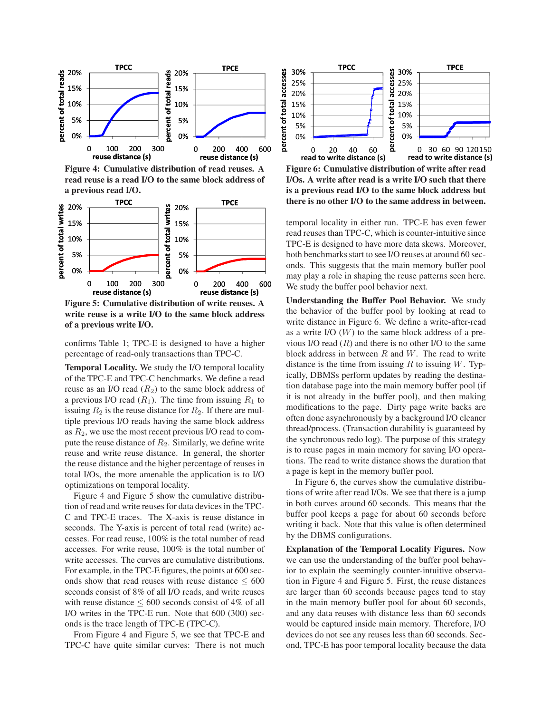

**Figure 4: Cumulative distribution of read reuses. A read reuse is a read I/O to the same block address of a previous read I/O.**



**Figure 5: Cumulative distribution of write reuses. A write reuse is a write I/O to the same block address of a previous write I/O.**

confirms Table 1; TPC-E is designed to have a higher percentage of read-only transactions than TPC-C.

**Temporal Locality.** We study the I/O temporal locality of the TPC-E and TPC-C benchmarks. We define a read reuse as an I/O read  $(R_2)$  to the same block address of a previous I/O read  $(R_1)$ . The time from issuing  $R_1$  to issuing  $R_2$  is the reuse distance for  $R_2$ . If there are multiple previous I/O reads having the same block address as  $R_2$ , we use the most recent previous I/O read to compute the reuse distance of  $R_2$ . Similarly, we define write reuse and write reuse distance. In general, the shorter the reuse distance and the higher percentage of reuses in total I/Os, the more amenable the application is to I/O optimizations on temporal locality.

Figure 4 and Figure 5 show the cumulative distribution of read and write reuses for data devices in the TPC-C and TPC-E traces. The X-axis is reuse distance in seconds. The Y-axis is percent of total read (write) accesses. For read reuse, 100% is the total number of read accesses. For write reuse, 100% is the total number of write accesses. The curves are cumulative distributions. For example, in the TPC-E figures, the points at 600 seconds show that read reuses with reuse distance  $\leq 600$ seconds consist of 8% of all I/O reads, and write reuses with reuse distance  $\leq 600$  seconds consist of 4% of all I/O writes in the TPC-E run. Note that 600 (300) seconds is the trace length of TPC-E (TPC-C).

From Figure 4 and Figure 5, we see that TPC-E and TPC-C have quite similar curves: There is not much



**Figure 6: Cumulative distribution of write after read I/Os. A write after read is a write I/O such that there is a previous read I/O to the same block address but there is no other I/O to the same address in between.**

temporal locality in either run. TPC-E has even fewer read reuses than TPC-C, which is counter-intuitive since TPC-E is designed to have more data skews. Moreover, both benchmarks start to see I/O reuses at around 60 seconds. This suggests that the main memory buffer pool may play a role in shaping the reuse patterns seen here. We study the buffer pool behavior next.

**Understanding the Buffer Pool Behavior.** We study the behavior of the buffer pool by looking at read to write distance in Figure 6. We define a write-after-read as a write  $I/O$  (W) to the same block address of a previous I/O read  $(R)$  and there is no other I/O to the same block address in between  $R$  and  $W$ . The read to write distance is the time from issuing R to issuing W. Typically, DBMSs perform updates by reading the destination database page into the main memory buffer pool (if it is not already in the buffer pool), and then making modifications to the page. Dirty page write backs are often done asynchronously by a background I/O cleaner thread/process. (Transaction durability is guaranteed by the synchronous redo log). The purpose of this strategy is to reuse pages in main memory for saving I/O operations. The read to write distance shows the duration that a page is kept in the memory buffer pool.

In Figure 6, the curves show the cumulative distributions of write after read I/Os. We see that there is a jump in both curves around 60 seconds. This means that the buffer pool keeps a page for about 60 seconds before writing it back. Note that this value is often determined by the DBMS configurations.

**Explanation of the Temporal Locality Figures.** Now we can use the understanding of the buffer pool behavior to explain the seemingly counter-intuitive observation in Figure 4 and Figure 5. First, the reuse distances are larger than 60 seconds because pages tend to stay in the main memory buffer pool for about 60 seconds, and any data reuses with distance less than 60 seconds would be captured inside main memory. Therefore, I/O devices do not see any reuses less than 60 seconds. Second, TPC-E has poor temporal locality because the data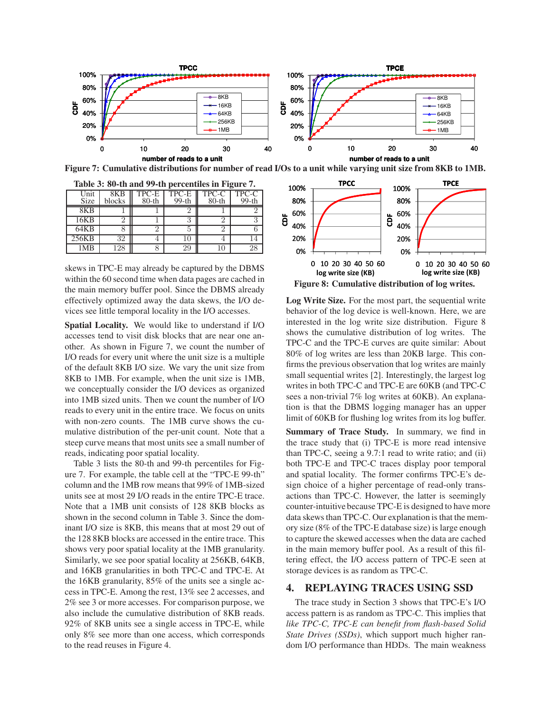

**Figure 7: Cumulative distributions for number of read I/Os to a unit while varying unit size from 8KB to 1MB.**

| Table 5: 00-th and 77-th percentifies in Figure 7: |               |                |                  |                          |                |  |  |
|----------------------------------------------------|---------------|----------------|------------------|--------------------------|----------------|--|--|
| Unit<br>Size                                       | 8KB<br>blocks | TPC-E<br>80-th | TPC-E<br>$99-th$ | TPC-C<br>$80$ -th<br>. . | TPC-C<br>99-th |  |  |
| 8KB                                                |               |                |                  |                          |                |  |  |
| 16KB                                               |               |                |                  |                          |                |  |  |
| 64KB                                               |               |                |                  |                          |                |  |  |
| 256KB                                              | 32            |                | 10               |                          |                |  |  |
| 1MB                                                | 128           |                | 29               |                          | 28             |  |  |

**Table 3: 80-th and 99-th percentiles in Figure 7.**

skews in TPC-E may already be captured by the DBMS within the 60 second time when data pages are cached in the main memory buffer pool. Since the DBMS already effectively optimized away the data skews, the I/O devices see little temporal locality in the I/O accesses.

**Spatial Locality.** We would like to understand if I/O accesses tend to visit disk blocks that are near one another. As shown in Figure 7, we count the number of I/O reads for every unit where the unit size is a multiple of the default 8KB I/O size. We vary the unit size from 8KB to 1MB. For example, when the unit size is 1MB, we conceptually consider the I/O devices as organized into 1MB sized units. Then we count the number of I/O reads to every unit in the entire trace. We focus on units with non-zero counts. The 1MB curve shows the cumulative distribution of the per-unit count. Note that a steep curve means that most units see a small number of reads, indicating poor spatial locality.

Table 3 lists the 80-th and 99-th percentiles for Figure 7. For example, the table cell at the "TPC-E 99-th" column and the 1MB row means that 99% of 1MB-sized units see at most 29 I/O reads in the entire TPC-E trace. Note that a 1MB unit consists of 128 8KB blocks as shown in the second column in Table 3. Since the dominant I/O size is 8KB, this means that at most 29 out of the 128 8KB blocks are accessed in the entire trace. This shows very poor spatial locality at the 1MB granularity. Similarly, we see poor spatial locality at 256KB, 64KB, and 16KB granularities in both TPC-C and TPC-E. At the 16KB granularity, 85% of the units see a single access in TPC-E. Among the rest, 13% see 2 accesses, and 2% see 3 or more accesses. For comparison purpose, we also include the cumulative distribution of 8KB reads. 92% of 8KB units see a single access in TPC-E, while only 8% see more than one access, which corresponds to the read reuses in Figure 4.



**Log Write Size.** For the most part, the sequential write behavior of the log device is well-known. Here, we are interested in the log write size distribution. Figure 8 shows the cumulative distribution of log writes. The TPC-C and the TPC-E curves are quite similar: About 80% of log writes are less than 20KB large. This confirms the previous observation that log writes are mainly small sequential writes [2]. Interestingly, the largest log writes in both TPC-C and TPC-E are 60KB (and TPC-C sees a non-trivial 7% log writes at 60KB). An explanation is that the DBMS logging manager has an upper limit of 60KB for flushing log writes from its log buffer.

**Summary of Trace Study.** In summary, we find in the trace study that (i) TPC-E is more read intensive than TPC-C, seeing a 9.7:1 read to write ratio; and (ii) both TPC-E and TPC-C traces display poor temporal and spatial locality. The former confirms TPC-E's design choice of a higher percentage of read-only transactions than TPC-C. However, the latter is seemingly counter-intuitive because TPC-E is designed to have more data skews than TPC-C. Our explanation is that the memory size (8% of the TPC-E database size) is large enough to capture the skewed accesses when the data are cached in the main memory buffer pool. As a result of this filtering effect, the I/O access pattern of TPC-E seen at storage devices is as random as TPC-C.

## **4. REPLAYING TRACES USING SSD**

The trace study in Section 3 shows that TPC-E's I/O access pattern is as random as TPC-C. This implies that *like TPC-C, TPC-E can benefit from flash-based Solid State Drives (SSDs)*, which support much higher random I/O performance than HDDs. The main weakness